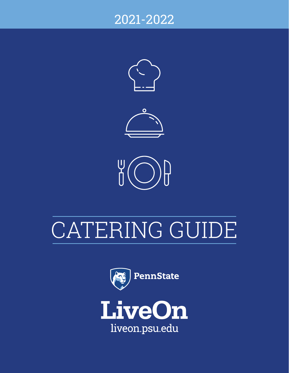## 2021-2022





# CATERING GUIDE

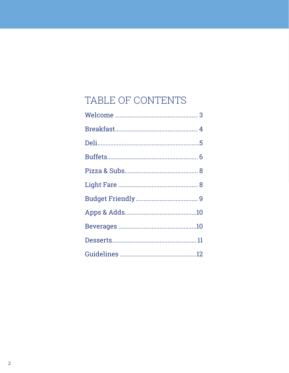## TABLE OF CONTENTS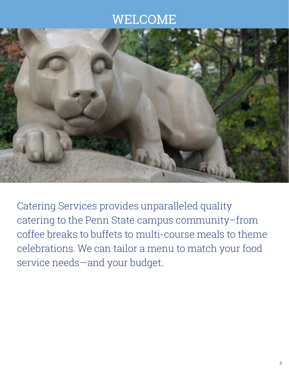## WELCOME



Catering Services provides unparalleled quality catering to the Penn State campus community–from coffee breaks to buffets to multi-course meals to theme celebrations. We can tailor a menu to match your food service needs—and your budget.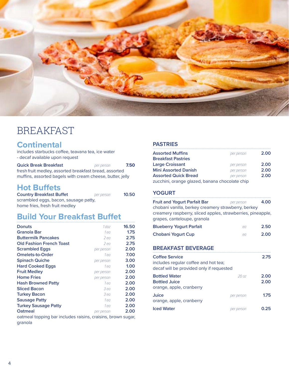

## BREAKFAST

### **Continental**

includes starbucks coffee, teavana tea, ice water - decaf available upon request

| <b>Quick Break Breakfast</b>                              | per person | 7.50 |
|-----------------------------------------------------------|------------|------|
| fresh fruit medley, assorted breakfast bread, assorted    |            |      |
| muffins, assorted bagels with cream cheese, butter, jelly |            |      |

### **Hot Buffets**

| <b>Country Breakfast Buffet</b>       | per person | 10.50 |
|---------------------------------------|------------|-------|
| scrambled eggs, bacon, sausage patty, |            |       |
| home fries, fresh fruit medley        |            |       |

#### **Build Your Breakfast Buffet ..........................................................................................................................................................................**

| <b>Donuts</b>                                                | $1$ doz    | 16.50 |
|--------------------------------------------------------------|------------|-------|
| Granola Bar                                                  | 1 ea       | 1.75  |
| <b>Buttermilk Pancakes</b>                                   | 2 ea       | 2.75  |
| <b>Old Fashion French Toast</b>                              | $2$ ea     | 2.75  |
| <b>Scrambled Eggs</b>                                        | per person | 2.00  |
| <b>Omelets-to-Order</b>                                      | 1 ea       | 7.00  |
| <b>Spinach Quiche</b>                                        | per person | 3.00  |
| <b>Hard Cooked Eggs</b>                                      | 1 ea       | 1.00  |
| <b>Fruit Medley</b>                                          | per person | 2.00  |
| <b>Home Fries</b>                                            | per person | 2.00  |
| <b>Hash Browned Patty</b>                                    | 1 ea       | 2.00  |
| <b>Sliced Bacon</b>                                          | 3 ea       | 2.00  |
| <b>Turkey Bacon</b>                                          | 3 ea       | 2.00  |
| <b>Sausage Patty</b>                                         | 1 ea       | 2.00  |
| <b>Turkey Sausage Patty</b>                                  | 1 ea       | 2.00  |
| <b>Oatmeal</b>                                               | per person | 2.00  |
| oatmeal topping bar includes raisins, craisins, brown sugar, |            |       |

oatmeal topping bar includes raisins, craisins, brown sugar, granola

#### **PASTRIES**

| <b>Assorted Muffins</b>                        | per person | 2.00 |
|------------------------------------------------|------------|------|
| <b>Breakfast Pastries</b>                      |            |      |
| <b>Large Croissant</b>                         | per person | 2.00 |
| <b>Mini Assorted Danish</b>                    | per person | 2.00 |
| <b>Assorted Quick Bread</b>                    | per person | 2.00 |
| zucchini, orange glazed, banana chocolate chip |            |      |

#### **YOGURT ..........................................................................................................................................................................**

**Fruit and Yogurt Parfait Bar** *per person* **4.00** chobani vanilla, berkey creamery strawberry, berkey creamery raspberry, sliced apples, strawberries, pineapple, grapes, canteloupe, granola

| <b>Blueberry Yogurt Parfait</b> | $\epsilon$ | 2.50 |
|---------------------------------|------------|------|
| Chobani Yogurt Cup              | $\epsilon$ | 2.00 |

#### **BREAKFAST BEVERAGE**

| <b>Coffee Service</b><br>includes regular coffee and hot tea;<br>decaf will be provided only if requested |            | 2.75         |
|-----------------------------------------------------------------------------------------------------------|------------|--------------|
| <b>Bottled Water</b><br><b>Bottled Juice</b><br>orange, apple, cranberry                                  | 20 oz      | 2.00<br>2.00 |
| Juice<br>orange, apple, cranberry                                                                         | per person | 1.75         |
| <b>Iced Water</b>                                                                                         | per person | N フら         |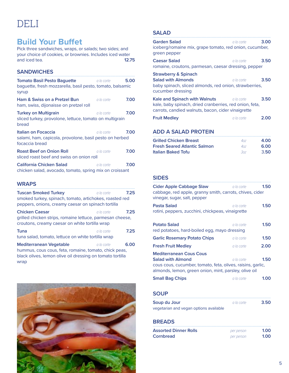## DELI

### **Build Your Buffet**

Pick three sandwiches, wraps, or salads; two sides; and your choice of cookies, or brownies. Includes iced water<br>and iced tea. **12.75** and iced tea.

#### **SANDWICHES ..........................................................................................................................................................................**

| <b>Tomato Basil Pesto Baquette</b><br>baguette, fresh mozzarella, basil pesto, tomato, balsamic<br>syrup | a la carte   | 5.00 |
|----------------------------------------------------------------------------------------------------------|--------------|------|
| Ham & Swiss on a Pretzel Bun<br>ham, swiss, dijonaisse on pretzel roll                                   | a la carte.  | 7.00 |
| <b>Turkey on Multigrain</b><br>sliced turkey, provolone, lettuce, tomato on multigrain<br>bread          | a la carte i | 7.00 |
| Italian on Focaccia<br>salami, ham, capicola, provolone, basil pesto on herbed<br>focaccia bread         | a la carte   | 7.00 |
| <b>Roast Beef on Onion Roll</b><br>sliced roast beef and swiss on onion roll                             | a la carte   | 7.00 |
| California Chicken Salad<br>chicken salad, avocado, tomato, spring mix on croissant                      | a la carte i | 7.00 |

#### **WRAPS**

| <b>Tuscan Smoked Turkey</b><br>smoked turkey, spinach, tomato, artichokes, roasted red<br>peppers, onions, creamy caesar on spinach tortilla        | a la carte | 7.25 |
|-----------------------------------------------------------------------------------------------------------------------------------------------------|------------|------|
| <b>Chicken Caesar</b><br>grilled chicken strips, romaine lettuce, parmesan cheese,<br>croutons, creamy caesar on white tortilla wrap                | a la carte | 7.25 |
| <b>Tuna</b><br>tuna salad, tomato, lettuce on white tortilla wrap                                                                                   | a la carte | 7.25 |
| <b>Mediterranean Vegetable</b><br>hummus, cous cous, feta, romaine, tomato, chick peas,<br>hlack olives Jemon olive oil dressing on tomato tortilla | a la carte | 6.00 |

lemon olive oil dressing on tomato tortilla wrap



| <b>SALAD</b>                                                                                                                                   |              |      |
|------------------------------------------------------------------------------------------------------------------------------------------------|--------------|------|
| <b>Garden Salad</b>                                                                                                                            | a la carte   | 3.00 |
| iceberg/romaine mix, grape tomato, red onion, cucumber,<br>green pepper                                                                        |              |      |
| Caesar Salad                                                                                                                                   | a la carte - | 3.50 |
| romaine, croutons, parmesan, caesar dressing, pepper                                                                                           |              |      |
| <b>Strawberry &amp; Spinach</b><br>Salad with Almonds<br>baby spinach, sliced almonds, red onion, strawberries,<br>cucumber dressing           | a la carte i | 3.50 |
| Kale and Spinach with Walnuts<br>kale, baby spinach, dried cranberries, red onion, feta,<br>carrots, candied walnuts, bacon, cider vinaigrette | a la carte   | 3.50 |
| <b>Fruit Medley</b>                                                                                                                            | a la carte   | 2.00 |
| ADD A CALAD DDOTEIN                                                                                                                            |              |      |

### **ADD A SALAD PROTEIN ..........................................................................................................................................................................**

| <b>Grilled Chicken Breast</b>       | 407   | 4.00 |
|-------------------------------------|-------|------|
| <b>Fresh Seared Atlantic Salmon</b> | 407   | 6.00 |
| <b>Italian Baked Tofu</b>           | -302- | 3.50 |

#### **SIDES**

| Cider Apple Cabbage Slaw<br>cabbage, red apple, granny smith, carrots, chives, cider<br>vinegar, sugar, salt, pepper                                                               | a la carte  | 1.50 |
|------------------------------------------------------------------------------------------------------------------------------------------------------------------------------------|-------------|------|
| Pasta Salad<br>rotini, peppers, zucchini, chickpeas, vinaigrette                                                                                                                   | a la carte  | 1.50 |
| <b>Potato Salad</b><br>red potatoes, hard-boiled egg, mayo dressing                                                                                                                | a la carte. | 1.50 |
| <b>Garlic Rosemary Potato Chips</b>                                                                                                                                                | a la carte  | 1.50 |
| <b>Fresh Fruit Medley</b>                                                                                                                                                          | a la carte  | 2.00 |
| <b>Mediterranean Cous Cous</b><br><b>Salad with Almond</b><br>cous cous, cucumber, tomato, feta, olives, raisins, garlic,<br>almonds, lemon, green onion, mint, parsley, olive oil | a la carte  | 1.50 |
| <b>Small Bag Chips</b>                                                                                                                                                             | a la carte  | 1.00 |
| SOUP                                                                                                                                                                               |             |      |

| Soup du Jour                           | -a la carte i | 3.50 |
|----------------------------------------|---------------|------|
| vegetarian and vegan options available |               |      |

#### **BREADS**

| <b>Assorted Dinner Rolls</b> | per person | 1.00 |
|------------------------------|------------|------|
| Cornbread                    | per person | 1.00 |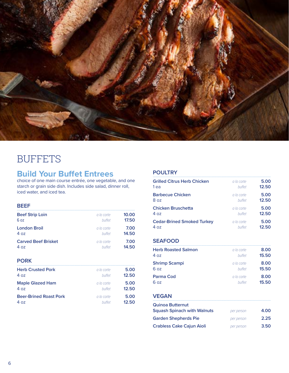

## **BUFFETS**

### **Build Your Buffet Entrees**

choice of one main course entrée, one vegetable, and one starch or grain side dish. Includes side salad, dinner roll, iced water, and iced tea.

#### **BEEF**

| <b>Beef Strip Loin</b>     | a la carte    | 10.00 |
|----------------------------|---------------|-------|
| 6.07                       | <b>buffet</b> | 17.50 |
| <b>London Broil</b>        | a la carte    | 7.00  |
| 407                        | <b>buffet</b> | 14.50 |
| <b>Carved Beef Brisket</b> | a la carte    | 7.00  |
| 407                        | <b>buffet</b> | 14.50 |

**PORK**

| <b>Herb Crusted Pork</b>      | a la carte | 5.00  |
|-------------------------------|------------|-------|
| 4 oz                          | huffet     | 12.50 |
| <b>Maple Glazed Ham</b>       | a la carte | 5.00  |
| 4 oz                          | huffet     | 12.50 |
| <b>Beer-Brined Roast Pork</b> | a la carte | 5.00  |
| א 4                           | huffet     | 12.50 |

#### **POULTRY**

| <b>Grilled Citrus Herb Chicken</b> | a la carte | 5.00  |
|------------------------------------|------------|-------|
| 1 ea                               | huffet     | 12.50 |
| <b>Barbecue Chicken</b>            | a la carte | 5.00  |
| 8 oz                               | huffet     | 12.50 |
| <b>Chicken Bruschetta</b>          | a la carte | 5.00  |
| 4 oz                               | huffet     | 12.50 |
| <b>Cedar-Brined Smoked Turkey</b>  | a la carte | 5.00  |
| א 4ס                               | huffet     | 12.50 |

#### **SEAFOOD ..........................................................................................................................................................................**

| <b>Herb Roasted Salmon</b> | a la carte    | 8.00  |
|----------------------------|---------------|-------|
| 407                        | <b>buffet</b> | 15.50 |
| <b>Shrimp Scampi</b>       | a la carte    | 8.00  |
| 6 oz                       | <b>buffet</b> | 15.50 |
| Parma Cod                  | a la carte    | 8.00  |
| 6 oz                       | huffet        | 15.50 |

### **VEGAN ..........................................................................................................................................................................**

| <b>Quinoa Butternut</b><br><b>Squash Spinach with Walnuts</b> | per person | 4.00 |
|---------------------------------------------------------------|------------|------|
| <b>Garden Shepherds Pie</b>                                   | per person | 2.25 |
| <b>Crabless Cake Cajun Aioli</b>                              | per person | 3.50 |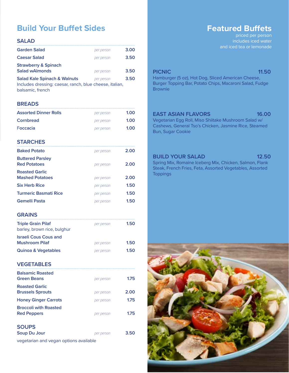### **Build Your Buffet Sides**

| <b>SALAD</b>                                                                                                           |            |      |
|------------------------------------------------------------------------------------------------------------------------|------------|------|
| <b>Garden Salad</b>                                                                                                    | per person | 3.00 |
| <b>Caesar Salad</b>                                                                                                    | per person | 3.50 |
| <b>Strawberry &amp; Spinach</b><br><b>Salad wAlmonds</b>                                                               | per person | 3.50 |
| <b>Salad Kale Spinach &amp; Walnuts</b><br>Includes dressing: caesar, ranch, blue cheese, italian,<br>balsamic, french | per person | 3.50 |

#### **BREADS**

| <b>Assorted Dinner Rolls</b> | per person | 1.00 |
|------------------------------|------------|------|
| Cornbread                    | per person | 1.00 |
| Foccacia                     | per person | 1.00 |

**STARCHES ..........................................................................................................................................................................**

| <b>Baked Potato</b>                             | per person | 2.00 |
|-------------------------------------------------|------------|------|
| <b>Buttered Parsley</b><br><b>Red Potatoes</b>  | per person | 2.00 |
| <b>Roasted Garlic</b><br><b>Mashed Potatoes</b> | per person | 2.00 |
| <b>Six Herb Rice</b>                            | per person | 1.50 |
| <b>Turmeric Basmati Rice</b>                    | per person | 1.50 |
| <b>Gemelli Pasta</b>                            | per person | 1.50 |

#### **GRAINS**

| <b>Triple Grain Pilaf</b><br>barley, brown rice, bulghur | per person | 1.50 |
|----------------------------------------------------------|------------|------|
| <b>Israeli Cous Cous and</b><br><b>Mushroom Pilaf</b>    | per person | 1.50 |
| <b>Quinoa &amp; Vegetables</b>                           | per person | 1.50 |

**VEGETABLES**

| <b>Balsamic Roasted</b><br><b>Green Beans</b>      | per person | 1.75 |
|----------------------------------------------------|------------|------|
| <b>Roasted Garlic</b><br><b>Brussels Sprouts</b>   | per person | 2.00 |
| <b>Honey Ginger Carrots</b>                        | per person | 1.75 |
| <b>Broccoli with Roasted</b><br><b>Red Peppers</b> | per person | 1.75 |
| <b>SOUPS</b><br><b>Soup Du Jour</b>                | per person | 3.50 |

vegetarian and vegan options available

### **Featured Buffets**

priced per person includes iced water and iced tea or lemonade

#### **PICNIC** 11.50

Hamburger (5 oz), Hot Dog, Sliced American Cheese, Burger Topping Bar, Potato Chips, Macaroni Salad, Fudge **Brownie** 

#### **EAST ASIAN FLAVORS** 16.00

Vegetarian Egg Roll, Miso Shiitake Mushroom Salad w/ Cashews, General Tso's Chicken, Jasmine Rice, Steamed Bun, Sugar Cookie

#### **BUILD YOUR SALAD 12.50**

Spring Mix, Romaine Iceberg Mix, Chicken, Salmon, Flank Steak, French Fries, Feta, Assorted Vegetables, Assorted **Toppings** 

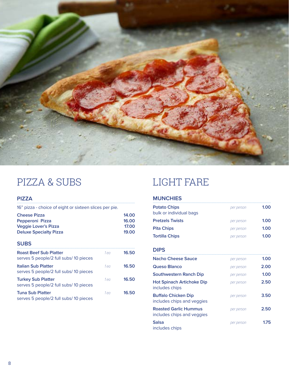

## PIZZA & SUBS LIGHT FARE

### **PIZZA ..........................................................................................................................................................................**

| <b>Cheese Pizza</b><br>Pepperoni Pizza<br><b>Veggie Lover's Pizza</b><br><b>Deluxe Specialty Pizza</b> | 16" pizza - choice of eight or sixteen slices per pie. |       |
|--------------------------------------------------------------------------------------------------------|--------------------------------------------------------|-------|
|                                                                                                        |                                                        | 14.00 |
|                                                                                                        |                                                        | 16.00 |
|                                                                                                        |                                                        | 17.00 |
|                                                                                                        |                                                        | 19.00 |

#### **SUBS**

| <b>Roast Beef Sub Platter</b><br>serves 5 people/2 full subs/10 pieces | 1 <sub>2</sub> | 16.50 |
|------------------------------------------------------------------------|----------------|-------|
| <b>Italian Sub Platter</b><br>serves 5 people/2 full subs/ 10 pieces   | 1 <sub>2</sub> | 16.50 |
| <b>Turkey Sub Platter</b><br>serves 5 people/2 full subs/ 10 pieces    | 1 <sub>2</sub> | 16.50 |
| <b>Tuna Sub Platter</b><br>serves 5 people/2 full subs/10 pieces       | $1 - \alpha$   | 16.50 |

#### **MUNCHIES**

| <b>Potato Chips</b><br>bulk or individual bags | per person | 1,00 |
|------------------------------------------------|------------|------|
| <b>Pretzels Twists</b>                         | per person | 1.00 |
| <b>Pita Chips</b>                              | per person | 1.00 |
| <b>Tortilla Chips</b>                          | per person | 1.00 |
|                                                |            |      |

#### **DIPS**

| Nacho Cheese Sauce                                         | per person | 1.00 |
|------------------------------------------------------------|------------|------|
| Queso Blanco                                               | per person | 2.00 |
| <b>Southwestern Ranch Dip</b>                              | per person | 1.00 |
| Hot Spinach Artichoke Dip<br>includes chips                | per person | 2.50 |
| <b>Buffalo Chicken Dip</b><br>includes chips and veggies   | per person | 3.50 |
| <b>Roasted Garlic Hummus</b><br>includes chips and veggies | per person | 2.50 |
| Salsa<br>includes chips                                    | per person | 1.75 |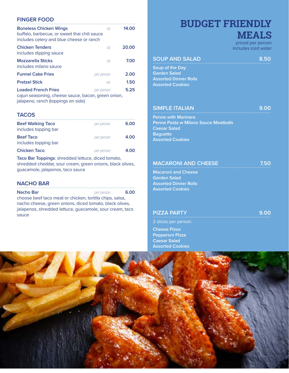#### **FINGER FOOD**

| <b>Boneless Chicken Wings</b><br>buffalo, barbecue, or sweet thai chili sauce<br>includes celery and blue cheese or ranch | dz         | 14.00 |
|---------------------------------------------------------------------------------------------------------------------------|------------|-------|
| <b>Chicken Tenders</b><br>includes dipping sauce                                                                          | dz         | 20.00 |
| <b>Mozzarella Sticks</b><br>includes milano sauce                                                                         | dz         | 7.00  |
| <b>Funnel Cake Fries</b>                                                                                                  | per person | 2.00  |
| <b>Pretzel Stick</b>                                                                                                      | ea         | 1.50  |
| <b>Loaded French Fries</b>                                                                                                | per person | 5.25  |
| cajun seasoning, cheese sauce, bacon, green onion,<br>jalapeno, ranch (toppings on side)                                  |            |       |

#### **TACOS ..........................................................................................................................................................................**

| <b>Beef Walking Taco</b><br>includes topping bar | per person | 6.00 |
|--------------------------------------------------|------------|------|
| <b>Beef Taco</b><br>includes topping bar         | per person | 4.00 |
| <b>Chicken Taco</b>                              | per person | 4.00 |

**Taco Bar Toppings**: shredded lettuce, diced tomato, shredded cheddar, sour cream, green onions, black olives, guacamole, jalapenos, taco sauce

#### **NACHO BAR**

| Nacho Bar                                                | per person | 6.00 |
|----------------------------------------------------------|------------|------|
| choose beef taco meat or chicken, tortilla chips, salsa, |            |      |
| nacho cheese, green onions, diced tomato, black olives,  |            |      |
| jalapenos, shredded lettuce, guacamole, sour cream, taco |            |      |
| sauce                                                    |            |      |

## **BUDGET FRIENDLY MEALS**

priced per person includes iced water

#### **SOUP AND SALAD 8.50 ..........................................................................................................................................................................**

**Soup of the Day Garden Salad Assorted Dinner Rolls Assorted Cookies**

#### **SIMPLE ITALIAN 1999**

**Penne with Marinara Penne Pasta w Milano Sauce Meatballs Caesar Salad Baguette Assorted Cookies**

#### **MACARONI AND CHEESE 1999 12:50**

**Macaroni and Cheese Garden Salad Assorted Dinner Rolls Assorted Cookies**

#### **PIZZA PARTY 1999 1224 PARTY 1999 1224 124 PARTY**

2 slices per person

**Cheese Pizza Pepperoni Pizza Caesar Salad Assorted Cookies**

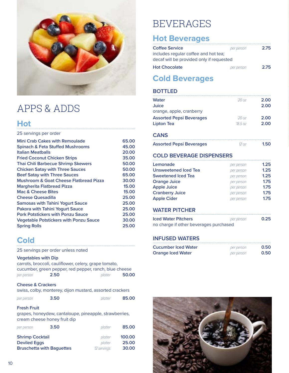

## APPS & ADDS

#### **Hot ..........................................................................................................................................................................**

#### 25 servings per order

| Mini Crab Cakes with Remoulade                    | 65.00 |
|---------------------------------------------------|-------|
| <b>Spinach &amp; Feta Stuffed Mushrooms</b>       | 45.00 |
| <b>Italian Meatballs</b>                          | 20.00 |
| <b>Fried Coconut Chicken Strips</b>               | 35.00 |
| <b>Thai Chili Barbecue Shrimp Skewers</b>         | 50.00 |
| <b>Chicken Satay with Three Sauces</b>            | 50.00 |
| <b>Beef Satay with Three Sauces</b>               | 65.00 |
| <b>Mushroom &amp; Goat Cheese Flatbread Pizza</b> | 30.00 |
| <b>Margherita Flatbread Pizza</b>                 | 15.00 |
| <b>Mac &amp; Cheese Bites</b>                     | 15.00 |
| <b>Cheese Quesadilla</b>                          | 25.00 |
| <b>Samosas with Tahini Yogurt Sauce</b>           | 25.00 |
| <b>Pakora with Tahini Yogurt Sauce</b>            | 25.00 |
| <b>Pork Potstickers with Ponzu Sauce</b>          | 25.00 |
| <b>Vegetable Potstickers with Ponzu Sauce</b>     | 30.00 |
| <b>Spring Rolls</b>                               | 25.00 |
|                                                   |       |

#### **Cold ..........................................................................................................................................................................**

25 servings per order unless noted

#### **Vegetables with Dip**

|            |      | carrots, broccoli, cauliflower, celery, grape tomato,  |       |
|------------|------|--------------------------------------------------------|-------|
|            |      | cucumber, green pepper, red pepper, ranch, blue cheese |       |
| per person | 2.50 | platter                                                | 50.00 |

#### **Cheese & Crackers**

| 3.50<br>per person | platter | 85.00 |
|--------------------|---------|-------|
|--------------------|---------|-------|

#### **Fresh Fruit**

grapes, honeydew, cantaloupe, pineapple, strawberries, cream cheese honey fruit dip

| per person             | 3.50                             | platter     | 85.00  |
|------------------------|----------------------------------|-------------|--------|
| <b>Shrimp Cocktail</b> |                                  | platter     | 100.00 |
| <b>Deviled Eggs</b>    |                                  | platter     | 25.00  |
|                        | <b>Bruschetta with Baquettes</b> | 12 servings | 30.00  |

## BEVERAGES

### **Hot Beverages**

| <b>Coffee Service</b>                    | per person | 2.75 |
|------------------------------------------|------------|------|
| includes regular coffee and hot tea;     |            |      |
| decaf will be provided only if requested |            |      |
| <b>Hot Chocolate</b>                     | per person | 2.75 |

### **Cold Beverages**

#### **BOTTLED**

| <b>Water</b><br><b>Juice</b><br>orange, apple, cranberry | 20 oz      | 2.00<br>2.00 |
|----------------------------------------------------------|------------|--------------|
| <b>Assorted Pepsi Beverages</b>                          | 20 oz      | 2.00         |
| Lipton Tea                                               | 18.5 oz    | 2.00         |
|                                                          |            |              |
| <b>CANS</b>                                              |            |              |
| <b>Assorted Pepsi Beverages</b>                          | 120Z       | 1.50         |
| <b>COLD BEVERAGE DISPENSERS</b>                          |            |              |
| Lemonade                                                 | per person | 1.25         |
| <b>Unsweetened Iced Tea</b>                              | per person | 1.25         |
| <b>Sweetened Iced Tea</b>                                | per person | 1.25         |
| <b>Orange Juice</b>                                      | per person | 1.75         |
| <b>Apple Juice</b>                                       | per person | 1.75         |
| <b>Cranberry Juice</b>                                   | per person | 1.75         |
| <b>Apple Cider</b>                                       | per person | 1.75         |
| <b>WATER PITCHER</b>                                     |            |              |
| <b>Iced Water Pitchers</b>                               | per person | 0.25         |

no charge if other beverages purchased

#### **INFUSED WATERS**

| Cucumber Iced Water      | per person | 0.50 |
|--------------------------|------------|------|
| <b>Orange Iced Water</b> | per person | 0.50 |

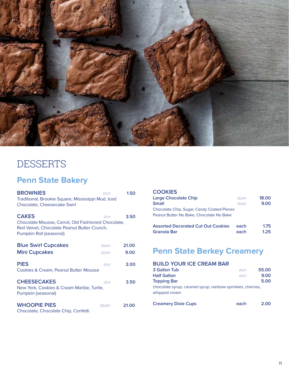

## **DESSERTS**

### **Penn State Bakery**

| <b>BROWNIES</b>                                                                                                                              | each  | 1.50  |
|----------------------------------------------------------------------------------------------------------------------------------------------|-------|-------|
| Traditional, Brookie Square, Mississippi Mud, Iced<br><b>Chocolate, Cheesecake Swirl</b>                                                     |       |       |
| <b>CAKES</b><br>Chocolate Mousse, Carrot, Old Fashioned Chocolate,<br>Red Velvet, Chocolate Peanut Butter Crunch,<br>Pumpkin Roll (seasonal) | slice | 3.50  |
| <b>Blue Swirl Cupcakes</b>                                                                                                                   | dozen | 21.00 |
| <b>Mini Cupcakes</b>                                                                                                                         | dozen | 9.00  |
| <b>PIES</b><br><b>Cookies &amp; Cream, Peanut Butter Mousse</b>                                                                              | slice | 3.00  |
| <b>CHEESECAKES</b><br>New York, Cookies & Cream Marble, Turtle,<br>Pumpkin (seasonal)                                                        | slice | 3.50  |
| <b>WHOOPIE PIES</b><br>Chocolate, Chocolate Chip, Confetti                                                                                   | dozen | 21.00 |

| <b>COOKIES</b><br><b>Large Chocolate Chip</b><br><b>Small</b>                          | dozen<br>dozen | 18.00<br>9.00 |
|----------------------------------------------------------------------------------------|----------------|---------------|
| Chocolate Chip, Sugar, Candy Coated Pieces<br>Peanut Butter No Bake, Chocolate No Bake |                |               |
| <b>Assorted Decorated Cut Out Cookies</b><br>Granola Bar                               | each<br>each   | 1.75<br>1.25  |

### **Penn State Berkey Creamery**

#### **BUILD YOUR ICE CREAM BAR 3 Gallon Tub** *each* **55.00**

| <b>Half Gallon</b>                                           | each | 9.00 |
|--------------------------------------------------------------|------|------|
| Topping Bar                                                  |      | 5.00 |
| chocolate syrup, caramel syrup, rainbow sprinkles, cherries, |      |      |
| whipped cream                                                |      |      |
|                                                              |      |      |

| <b>Creamery Dixie Cups</b> | each | 2.00 |
|----------------------------|------|------|
|----------------------------|------|------|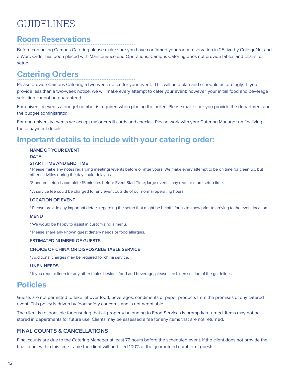## GUIDELINES

#### **Room Reservations ..........................................................................................................................................................................**

Before contacting Campus Catering please make sure you have confirmed your room reservation in 25Live by CollegeNet and a Work Order has been placed with Maintenance and Operations. Campus Catering does not provide tables and chairs for setup.

#### **Catering Orders ..........................................................................................................................................................................**

Please provide Campus Catering a two-week notice for your event. This will help plan and schedule accordingly. If you provide less than a two-week notice, we will make every attempt to cater your event; however, your initial food and beverage selection cannot be guaranteed.

For university events a budget number is required when placing the order. Please make sure you provide the department and the budget administrator.

For non-university events we accept major credit cards and checks. Please work with your Catering Manager on finalizing these payment details.

## **Important details to include with your catering order:**

#### **NAME OF YOUR EVENT**

#### **DATE**

#### **START TIME AND END TIME**

\* Please make any notes regarding meetings/events before or after yours. We make every attempt to be on time for clean up, but other activities during the day could delay us.

\*Standard setup is complete 15 minutes before Event Start Time; large events may require more setup time.

\* A service fee could be charged for any event outside of our normal operating hours.

#### **LOCATION OF EVENT**

\* Please provide any important details regarding the setup that might be helpful for us to know prior to arriving to the event location.

#### **MENU**

- \* We would be happy to assist in customizing a menu.
- \* Please share any known guest dietary needs or food allergies.

#### **ESTIMATED NUMBER OF GUESTS**

#### **CHOICE OF CHINA OR DISPOSABLE TABLE SERVICE**

\* Additional charges may be required for china service.

#### **LINEN NEEDS**

\* If you require linen for any other tables besides food and beverage, please see Linen section of the guidelines.

#### **Policies .........................................................................................................................................................................**

Guests are not permitted to take leftover food, beverages, condiments or paper products from the premises of any catered event. This policy is driven by food safety concerns and is not negotiable.

The client is responsible for ensuring that all property belonging to Food Services is promptly returned. Items may not be stored in departments for future use. Clients may be assessed a fee for any items that are not returned.

#### **FINAL COUNTS & CANCELLATIONS**

Final counts are due to the Catering Manager at least 72 hours before the scheduled event. If the client does not provide the final count within this time frame the client will be billed 100% of the guaranteed number of guests.